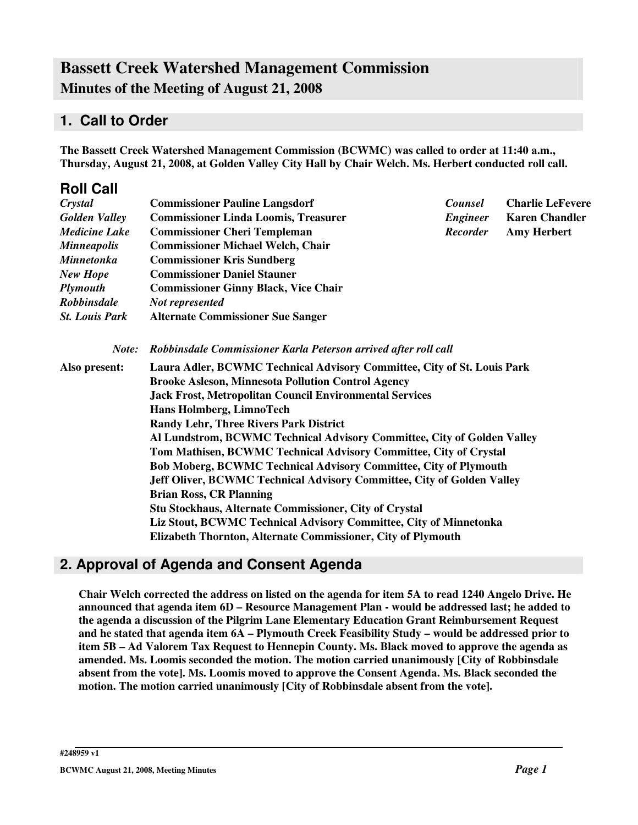# **Bassett Creek Watershed Management Commission Minutes of the Meeting of August 21, 2008**

### **1. Call to Order**

**The Bassett Creek Watershed Management Commission (BCWMC) was called to order at 11:40 a.m., Thursday, August 21, 2008, at Golden Valley City Hall by Chair Welch. Ms. Herbert conducted roll call.**

| <b>Roll Call</b>      |                                                                                                                             |                                               |                         |  |  |                          |
|-----------------------|-----------------------------------------------------------------------------------------------------------------------------|-----------------------------------------------|-------------------------|--|--|--------------------------|
| Crystal               | <b>Commissioner Pauline Langsdorf</b>                                                                                       | <b>Counsel</b>                                | <b>Charlie LeFevere</b> |  |  |                          |
| <b>Golden Valley</b>  | <b>Commissioner Linda Loomis, Treasurer</b>                                                                                 | <b>Engineer</b>                               | <b>Karen Chandler</b>   |  |  |                          |
| <b>Medicine Lake</b>  | <b>Commissioner Cheri Templeman</b>                                                                                         | <b>Recorder</b>                               | <b>Amy Herbert</b>      |  |  |                          |
| <b>Minneapolis</b>    | <b>Commissioner Michael Welch, Chair</b>                                                                                    |                                               |                         |  |  |                          |
| <b>Minnetonka</b>     | <b>Commissioner Kris Sundberg</b>                                                                                           |                                               |                         |  |  |                          |
| <b>New Hope</b>       | <b>Commissioner Daniel Stauner</b>                                                                                          |                                               |                         |  |  |                          |
| <b>Plymouth</b>       | <b>Commissioner Ginny Black, Vice Chair</b>                                                                                 |                                               |                         |  |  |                          |
| <b>Robbinsdale</b>    | Not represented                                                                                                             |                                               |                         |  |  |                          |
| <b>St. Louis Park</b> | <b>Alternate Commissioner Sue Sanger</b>                                                                                    |                                               |                         |  |  |                          |
| Note:                 | Robbinsdale Commissioner Karla Peterson arrived after roll call                                                             |                                               |                         |  |  |                          |
| Also present:         | Laura Adler, BCWMC Technical Advisory Committee, City of St. Louis Park                                                     |                                               |                         |  |  |                          |
|                       | <b>Brooke Asleson, Minnesota Pollution Control Agency</b><br><b>Jack Frost, Metropolitan Council Environmental Services</b> |                                               |                         |  |  |                          |
|                       |                                                                                                                             |                                               |                         |  |  | Hans Holmberg, LimnoTech |
|                       |                                                                                                                             | <b>Randy Lehr, Three Rivers Park District</b> |                         |  |  |                          |
|                       | Al Lundstrom, BCWMC Technical Advisory Committee, City of Golden Valley                                                     |                                               |                         |  |  |                          |
|                       | Tom Mathisen, BCWMC Technical Advisory Committee, City of Crystal                                                           |                                               |                         |  |  |                          |
|                       | Bob Moberg, BCWMC Technical Advisory Committee, City of Plymouth                                                            |                                               |                         |  |  |                          |
|                       | Jeff Oliver, BCWMC Technical Advisory Committee, City of Golden Valley                                                      |                                               |                         |  |  |                          |
|                       | <b>Brian Ross, CR Planning</b>                                                                                              |                                               |                         |  |  |                          |
|                       | Stu Stockhaus, Alternate Commissioner, City of Crystal                                                                      |                                               |                         |  |  |                          |
|                       | Liz Stout, BCWMC Technical Advisory Committee, City of Minnetonka                                                           |                                               |                         |  |  |                          |
|                       | Elizabeth Thornton, Alternate Commissioner, City of Plymouth                                                                |                                               |                         |  |  |                          |

## **2. Approval of Agenda and Consent Agenda**

Chair Welch corrected the address on listed on the agenda for item 5A to read 1240 Angelo Drive. He **announced that agenda item 6D – Resource Management Plan - would be addressed last; he added to the agenda a discussion of the Pilgrim Lane Elementary Education Grant Reimbursement Request and he stated that agenda item 6A – Plymouth Creek Feasibility Study – would be addressed prior to item 5B – Ad Valorem Tax Request to Hennepin County. Ms. Black moved to approve the agenda as amended. Ms. Loomis seconded the motion. The motion carried unanimously [City of Robbinsdale absent from the vote]. Ms. Loomis moved to approve the Consent Agenda. Ms. Black seconded the motion. The motion carried unanimously [City of Robbinsdale absent from the vote].**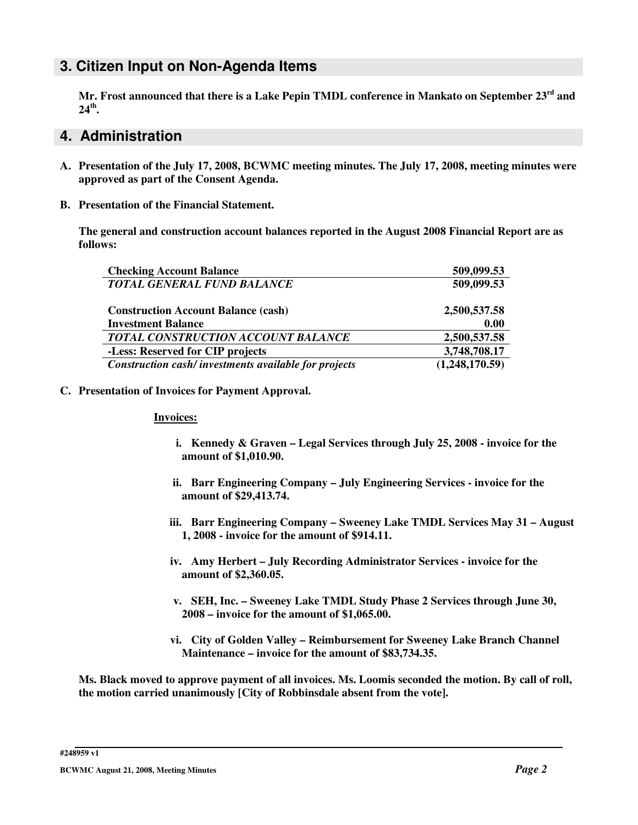#### **3. Citizen Input on Non-Agenda Items**

**Mr. Frost announced that there is a Lake Pepin TMDL conference in Mankato on September 23 rd and 24 th .**

#### **4. Administration**

- **A. Presentation of the July 17, 2008, BCWMC meeting minutes. The July 17, 2008, meeting minutes were approved as part of the Consent Agenda.**
- **B. Presentation of the Financial Statement.**

**The general and construction account balances reported in the August 2008 Financial Report are as follows:**

| <b>Checking Account Balance</b>                      | 509,099.53     |
|------------------------------------------------------|----------------|
| <b>TOTAL GENERAL FUND BALANCE</b>                    | 509,099.53     |
| <b>Construction Account Balance (cash)</b>           | 2,500,537.58   |
| <b>Investment Balance</b>                            | 0.00           |
| TOTAL CONSTRUCTION ACCOUNT BALANCE                   | 2,500,537.58   |
| -Less: Reserved for CIP projects                     | 3,748,708.17   |
| Construction cash/investments available for projects | (1,248,170.59) |

**C. Presentation of Invoices for Payment Approval.**

#### **Invoices:**

- **i. Kennedy & Graven – Legal Services through July 25, 2008 - invoice for the amount of \$1,010.90.**
- **ii. Barr Engineering Company – July Engineering Services - invoice for the amount of \$29,413.74.**
- **iii. Barr Engineering Company – Sweeney Lake TMDL Services May 31 – August 1, 2008 - invoice for the amount of \$914.11.**
- **iv. Amy Herbert – July Recording Administrator Services - invoice for the amount of \$2,360.05.**
- **v. SEH, Inc. – Sweeney Lake TMDL Study Phase 2 Services through June 30, 2008 – invoice for the amount of \$1,065.00.**
- **vi. City of Golden Valley – Reimbursement for Sweeney Lake Branch Channel Maintenance – invoice for the amount of \$83,734.35.**

Ms. Black moved to approve payment of all invoices. Ms. Loomis seconded the motion. By call of roll, **the motion carried unanimously [City of Robbinsdale absent from the vote].**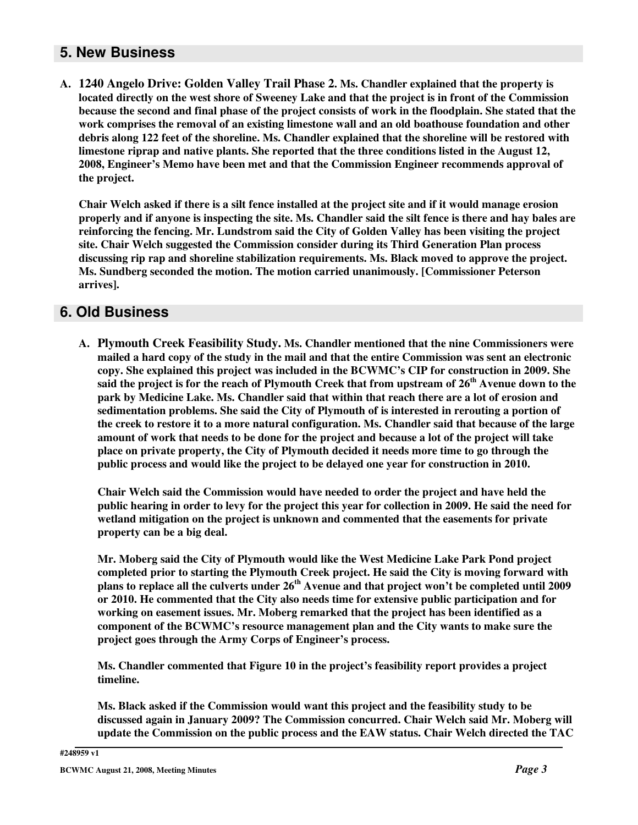### **5. New Business**

**A. 1240 Angelo Drive: Golden Valley Trail Phase 2. Ms. Chandler explained that the property is** located directly on the west shore of Sweeney Lake and that the project is in front of the Commission because the second and final phase of the project consists of work in the floodplain. She stated that the **work comprises the removal of an existing limestone wall and an old boathouse foundation and other debris along 122 feet of the shoreline. Ms. Chandler explained that the shoreline will be restored with limestone riprap and native plants. She reported that the three conditions listed in the August 12, 2008, Engineer's Memo have been met and that the Commission Engineer recommends approval of the project.**

Chair Welch asked if there is a silt fence installed at the project site and if it would manage erosion properly and if anyone is inspecting the site. Ms. Chandler said the silt fence is there and hay bales are **reinforcing the fencing. Mr. Lundstrom said the City of Golden Valley has been visiting the project site. Chair Welch suggested the Commission consider during its Third Generation Plan process discussing rip rap and shoreline stabilization requirements. Ms. Black moved to approve the project. Ms. Sundberg seconded the motion. The motion carried unanimously. [Commissioner Peterson arrives].**

#### **6. Old Business**

**A. Plymouth Creek Feasibility Study. Ms. Chandler mentioned that the nine Commissioners were** mailed a hard copy of the study in the mail and that the entire Commission was sent an electronic **copy. She explained this project was included in the BCWMC's CIP for construction in 2009. She** said the project is for the reach of Plymouth Creek that from upstream of  $26^{\rm th}$  Avenue down to the **park by Medicine Lake. Ms. Chandler said that within that reach there are a lot of erosion and sedimentation problems. She said the City of Plymouth of is interested in rerouting a portion of** the creek to restore it to a more natural configuration. Ms. Chandler said that because of the large amount of work that needs to be done for the project and because a lot of the project will take **place on private property, the City of Plymouth decided it needs more time to go through the public process and would like the project to be delayed one year for construction in 2010.**

**Chair Welch said the Commission would have needed to order the project and have held the** public hearing in order to levy for the project this year for collection in 2009. He said the need for **wetland mitigation on the project is unknown and commented that the easements for private property can be a big deal.**

**Mr. Moberg said the City of Plymouth would like the West Medicine Lake Park Pond project completed prior to starting the Plymouth Creek project. He said the City is moving forward with** plans to replace all the culverts under 26<sup>th</sup> Avenue and that project won't be completed until 2009 **or 2010. He commented that the City also needs time for extensive public participation and for working on easement issues. Mr. Moberg remarked that the project has been identified as a component of the BCWMC's resource management plan and the City wants to make sure the project goes through the Army Corps of Engineer's process.**

**Ms. Chandler commented that Figure 10 in the project's feasibility report provides a project timeline.**

**Ms. Black asked if the Commission would want this project and the feasibility study to be discussed again in January 2009? The Commission concurred. Chair Welch said Mr. Moberg will update the Commission on the public process and the EAW status. Chair Welch directed the TAC**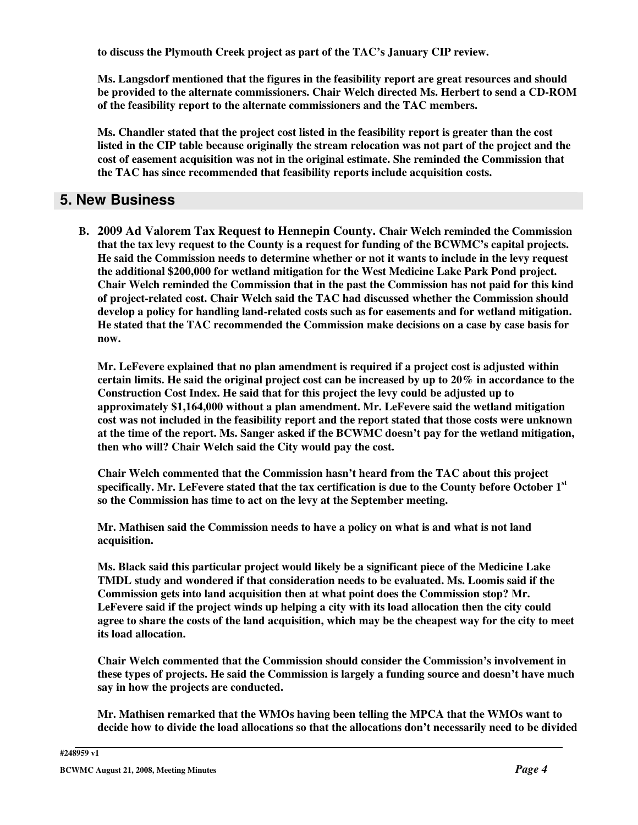**to discuss the Plymouth Creek project as part of the TAC's January CIP review.**

**Ms. Langsdorf mentioned that the figures in the feasibility report are great resources and should be provided to the alternate commissioners. Chair Welch directed Ms. Herbert to send a CD-ROM of the feasibility report to the alternate commissioners and the TAC members.**

**Ms. Chandler stated that the project cost listed in the feasibility report is greater than the cost** listed in the CIP table because originally the stream relocation was not part of the project and the **cost of easement acquisition was not in the original estimate. She reminded the Commission that the TAC has since recommended that feasibility reports include acquisition costs.**

### **5. New Business**

**B. 2009 Ad Valorem Tax Request to Hennepin County. Chair Welch reminded the Commission that the tax levy request to the County is a request for funding of the BCWMC's capital projects. He said the Commission needs to determine whether or not it wants to include in the levy request the additional \$200,000 for wetland mitigation for the West Medicine Lake Park Pond project. Chair Welch reminded the Commission that in the past the Commission has not paid for this kind of project-related cost. Chair Welch said the TAC had discussed whether the Commission should develop a policy for handling land-related costs such as for easements and for wetland mitigation. He stated that the TAC recommended the Commission make decisions on a case by case basis for now.**

**Mr. LeFevere explained that no plan amendment is required if a project cost is adjusted within** certain limits. He said the original project cost can be increased by up to  $20\%$  in accordance to the **Construction Cost Index. He said that for this project the levy could be adjusted up to approximately \$1,164,000 without a plan amendment. Mr. LeFevere said the wetland mitigation cost was not included in the feasibility report and the report stated that those costs were unknown at the time of the report. Ms. Sanger asked if the BCWMC doesn't pay for the wetland mitigation, then who will? Chair Welch said the City would pay the cost.**

**Chair Welch commented that the Commission hasn't heard from the TAC about this project specifically. Mr. LeFevere stated that the tax certification is due to the County before October 1 st so the Commission has time to act on the levy at the September meeting.**

**Mr. Mathisen said the Commission needs to have a policy on what is and what is not land acquisition.**

**Ms. Black said this particular project would likely be a significant piece of the Medicine Lake TMDL study and wondered if that consideration needs to be evaluated. Ms. Loomis said if the Commission gets into land acquisition then at what point does the Commission stop? Mr. LeFevere said if the project winds up helping a city with its load allocation then the city could** agree to share the costs of the land acquisition, which may be the cheapest way for the city to meet **its load allocation.**

**Chair Welch commented that the Commission should consider the Commission's involvement in these types of projects. He said the Commission is largely a funding source and doesn't have much say in how the projects are conducted.**

**Mr. Mathisen remarked that the WMOs having been telling the MPCA that the WMOs want to decide how to divide the load allocations so that the allocations don't necessarily need to be divided**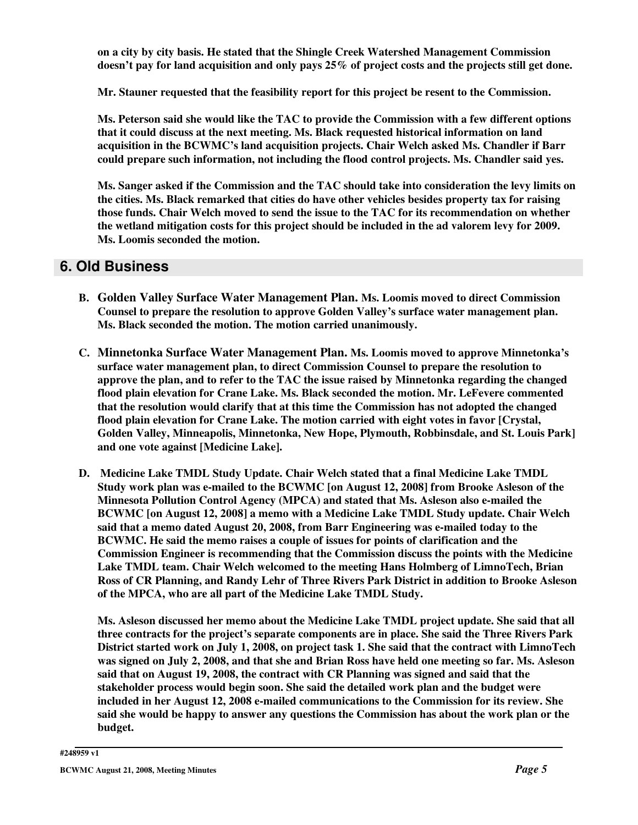**on a city by city basis. He stated that the Shingle Creek Watershed Management Commission** doesn't pay for land acquisition and only pays 25% of project costs and the projects still get done.

**Mr. Stauner requested that the feasibility report for this project be resent to the Commission.**

**Ms. Peterson said she would like the TAC to provide the Commission with a few different options that it could discuss at the next meeting. Ms. Black requested historical information on land acquisition in the BCWMC's land acquisition projects. Chair Welch asked Ms. Chandler if Barr could prepare such information, not including the flood control projects. Ms. Chandler said yes.**

**Ms. Sanger asked if the Commission and the TAC should take into consideration the levy limits on the cities. Ms. Black remarked that cities do have other vehicles besides property tax for raising those funds. Chair Welch moved to send the issue to the TAC for its recommendation on whether the wetland mitigation costs for this project should be included in the ad valorem levy for 2009. Ms. Loomis seconded the motion.**

#### **6. Old Business**

- **B. Golden Valley Surface Water Management Plan. Ms. Loomis moved to direct Commission Counsel to prepare the resolution to approve Golden Valley's surface water management plan. Ms. Black seconded the motion. The motion carried unanimously.**
- **C. Minnetonka Surface Water Management Plan. Ms. Loomis moved to approve Minnetonka's surface water management plan, to direct Commission Counsel to prepare the resolution to approve the plan, and to refer to the TAC the issue raised by Minnetonka regarding the changed flood plain elevation for Crane Lake. Ms. Black seconded the motion. Mr. LeFevere commented that the resolution would clarify that at this time the Commission has not adopted the changed flood plain elevation for Crane Lake. The motion carried with eight votes in favor [Crystal, Golden Valley, Minneapolis, Minnetonka, New Hope, Plymouth, Robbinsdale, and St. Louis Park] and one vote against [Medicine Lake].**
- **D. Medicine Lake TMDL Study Update. Chair Welch stated that a final Medicine Lake TMDL Study work plan was e-mailed to the BCWMC [on August 12, 2008] from Brooke Asleson of the Minnesota Pollution Control Agency (MPCA) and stated that Ms. Asleson also e-mailed the BCWMC [on August 12, 2008] a memo with a Medicine Lake TMDL Study update. Chair Welch said that a memo dated August 20, 2008, from Barr Engineering was e-mailed today to the BCWMC. He said the memo raises a couple of issues for points of clarification and the Commission Engineer is recommending that the Commission discuss the points with the Medicine Lake TMDL team. Chair Welch welcomed to the meeting Hans Holmberg of LimnoTech, Brian Ross of CR Planning, and Randy Lehr of Three Rivers Park District in addition to Brooke Asleson of the MPCA, who are all part of the Medicine Lake TMDL Study.**

**Ms. Asleson discussed her memo about the Medicine Lake TMDL project update. She said that all three contracts for the project's separate components are in place. She said the Three Rivers Park** District started work on July 1, 2008, on project task 1. She said that the contract with LimnoTech was signed on July 2, 2008, and that she and Brian Ross have held one meeting so far. Ms. Asleson **said that on August 19, 2008, the contract with CR Planning was signed and said that the stakeholder process would begin soon. She said the detailed work plan and the budget were included in her August 12, 2008 e-mailed communications to the Commission for its review. She said she would be happy to answer any questions the Commission has about the work plan or the budget.**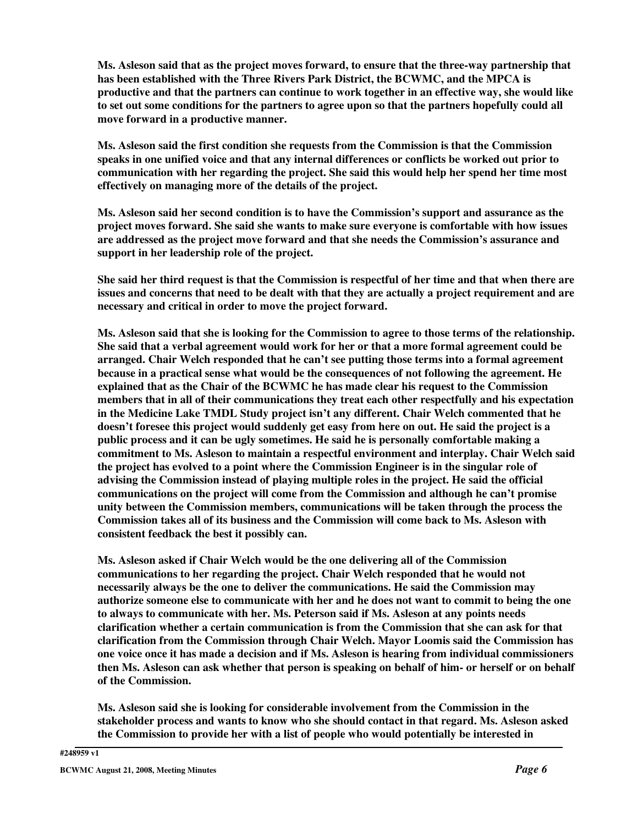**Ms. Asleson said that as the project moves forward, to ensure that the three-way partnership that has been established with the Three Rivers Park District, the BCWMC, and the MPCA is productive and that the partners can continue to work together in an effective way, she would like to set out some conditions for the partners to agree upon so that the partners hopefully could all move forward in a productive manner.**

**Ms. Asleson said the first condition she requests from the Commission is that the Commission speaks in one unified voice and that any internal differences or conflicts be worked out prior to communication with her regarding the project. She said this would help her spend her time most effectively on managing more of the details of the project.**

**Ms. Asleson said her second condition is to have the Commission's support and assurance as the project moves forward. She said she wants to make sure everyone is comfortable with how issues are addressed as the project move forward and that she needs the Commission's assurance and support in her leadership role of the project.**

She said her third request is that the Commission is respectful of her time and that when there are issues and concerns that need to be dealt with that they are actually a project requirement and are **necessary and critical in order to move the project forward.**

Ms. Asleson said that she is looking for the Commission to agree to those terms of the relationship. **She said that a verbal agreement would work for her or that a more formal agreement could be arranged. Chair Welch responded that he can't see putting those terms into a formal agreement because in a practical sense what would be the consequences of not following the agreement. He explained that as the Chair of the BCWMC he has made clear his request to the Commission members that in all of their communications they treat each other respectfully and his expectation in the Medicine Lake TMDL Study project isn't any different. Chair Welch commented that he doesn't foresee this project would suddenly get easy from here on out. He said the project is a public process and it can be ugly sometimes. He said he is personally comfortable making a commitment to Ms. Asleson to maintain a respectful environment and interplay. Chair Welch said the project has evolved to a point where the Commission Engineer is in the singular role of advising the Commission instead of playing multiple roles in the project. He said the official communications on the project will come from the Commission and although he can't promise unity between the Commission members, communications will be taken through the process the Commission takes all of its business and the Commission will come back to Ms. Asleson with consistent feedback the best it possibly can.**

**Ms. Asleson asked if Chair Welch would be the one delivering all of the Commission communications to her regarding the project. Chair Welch responded that he would not necessarily always be the one to deliver the communications. He said the Commission may authorize someone else to communicate with her and he does not want to commit to being the one to always to communicate with her. Ms. Peterson said if Ms. Asleson at any points needs clarification whether a certain communication is from the Commission that she can ask for that clarification from the Commission through Chair Welch. Mayor Loomis said the Commission has one voice once it has made a decision and if Ms. Asleson is hearing from individual commissioners** then Ms. Asleson can ask whether that person is speaking on behalf of him- or herself or on behalf **of the Commission.**

**Ms. Asleson said she is looking for considerable involvement from the Commission in the stakeholder process and wants to know who she should contact in that regard. Ms. Asleson asked the Commission to provide her with a list of people who would potentially be interested in**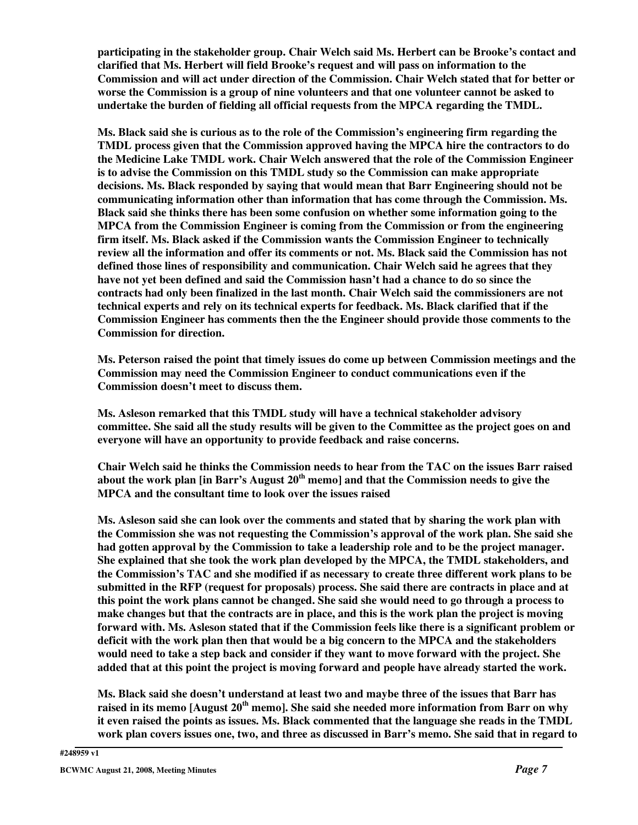**participating in the stakeholder group. Chair Welch said Ms. Herbert can be Brooke's contact and clarified that Ms. Herbert will field Brooke's request and will pass on information to the Commission and will act under direction of the Commission. Chair Welch stated that for better or worse the Commission is a group of nine volunteers and that one volunteer cannot be asked to undertake the burden of fielding all official requests from the MPCA regarding the TMDL.**

**Ms. Black said she is curious as to the role of the Commission's engineering firm regarding the TMDL process given that the Commission approved having the MPCA hire the contractors to do the Medicine Lake TMDL work. Chair Welch answered that the role of the Commission Engineer is to advise the Commission on this TMDL study so the Commission can make appropriate decisions. Ms. Black responded by saying that would mean that Barr Engineering should not be communicating information other than information that has come through the Commission. Ms. Black said she thinks there has been some confusion on whether some information going to the MPCA from the Commission Engineer is coming from the Commission or from the engineering firm itself. Ms. Black asked if the Commission wants the Commission Engineer to technically review all the information and offer its comments or not. Ms. Black said the Commission has not defined those lines of responsibility and communication. Chair Welch said he agrees that they have not yet been defined and said the Commission hasn't had a chance to do so since the contracts had only been finalized in the last month. Chair Welch said the commissioners are not technical experts and rely on its technical experts for feedback. Ms. Black clarified that if the Commission Engineer has comments then the the Engineer should provide those comments to the Commission for direction.**

**Ms. Peterson raised the point that timely issues do come up between Commission meetings and the Commission may need the Commission Engineer to conduct communications even if the Commission doesn't meet to discuss them.**

**Ms. Asleson remarked that this TMDL study will have a technical stakeholder advisory** committee. She said all the study results will be given to the Committee as the project goes on and **everyone will have an opportunity to provide feedback and raise concerns.**

**Chair Welch said he thinks the Commission needs to hear from the TAC on the issues Barr raised about the work plan [in Barr's August 20 th memo] and that the Commission needs to give the MPCA and the consultant time to look over the issues raised**

**Ms. Asleson said she can look over the comments and stated that by sharing the work plan with the Commission she was not requesting the Commission's approval of the work plan. She said she had gotten approval by the Commission to take a leadership role and to be the project manager. She explained that she took the work plan developed by the MPCA, the TMDL stakeholders, and the Commission's TAC and she modified if as necessary to create three different work plans to be submitted in the RFP (request for proposals) process. She said there are contracts in place and at** this point the work plans cannot be changed. She said she would need to go through a process to make changes but that the contracts are in place, and this is the work plan the project is moving **forward with. Ms. Asleson stated that if the Commission feels like there is a significant problem or deficit with the work plan then that would be a big concern to the MPCA and the stakeholders** would need to take a step back and consider if they want to move forward with the project. She **added that at this point the project is moving forward and people have already started the work.**

**Ms. Black said she doesn't understand at least two and maybe three of the issues that Barr has raised in its memo [August 20 th memo]. She said she needed more information from Barr on why it even raised the points as issues. Ms. Black commented that the language she reads in the TMDL** work plan covers issues one, two, and three as discussed in Barr's memo. She said that in regard to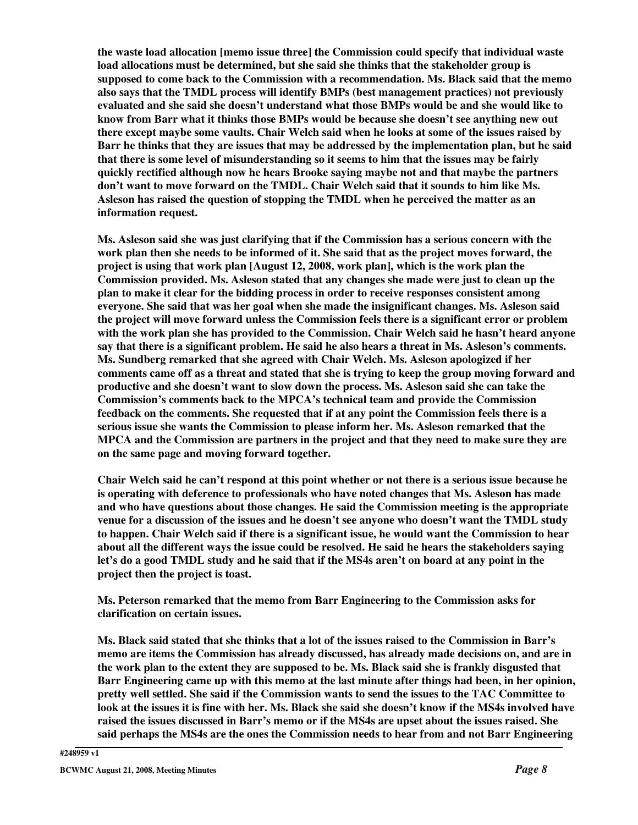**the waste load allocation [memo issue three] the Commission could specify that individual waste load allocations must be determined, but she said she thinks that the stakeholder group is supposed to come back to the Commission with a recommendation. Ms. Black said that the memo also says that the TMDL process will identify BMPs (best management practices) not previously evaluated and she said she doesn't understand what those BMPs would be and she would like to know from Barr what it thinks those BMPs would be because she doesn't see anything new out there except maybe some vaults. Chair Welch said when he looks at some of the issues raised by Barr he thinks that they are issues that may be addressed by the implementation plan, but he said that there is some level of misunderstanding so it seems to him that the issues may be fairly quickly rectified although now he hears Brooke saying maybe not and that maybe the partners don't want to move forward on the TMDL. Chair Welch said that it sounds to him like Ms. Asleson has raised the question of stopping the TMDL when he perceived the matter as an information request.**

**Ms. Asleson said she was just clarifying that if the Commission has a serious concern with the** work plan then she needs to be informed of it. She said that as the project moves forward, the **project is using that work plan [August 12, 2008, work plan], which is the work plan the Commission provided. Ms. Asleson stated that any changes she made were just to clean up the plan to make it clear for the bidding process in order to receive responses consistent among everyone. She said that was her goal when she made the insignificant changes. Ms. Asleson said the project will move forward unless the Commission feels there is a significant error or problem with the work plan she has provided to the Commission. Chair Welch said he hasn't heard anyone say that there is a significant problem. He said he also hears a threat in Ms. Asleson's comments. Ms. Sundberg remarked that she agreed with Chair Welch. Ms. Asleson apologized if her** comments came off as a threat and stated that she is trying to keep the group moving forward and **productive and she doesn't want to slow down the process. Ms. Asleson said she can take the Commission's comments back to the MPCA's technical team and provide the Commission feedback on the comments. She requested that if at any point the Commission feels there is a serious issue she wants the Commission to please inform her. Ms. Asleson remarked that the MPCA and the Commission are partners in the project and that they need to make sure they are on the same page and moving forward together.**

Chair Welch said he can't respond at this point whether or not there is a serious issue because he **is operating with deference to professionals who have noted changes that Ms. Asleson has made and who have questions about those changes. He said the Commission meeting is the appropriate venue for a discussion of the issues and he doesn't see anyone who doesn't want the TMDL study to happen. Chair Welch said if there is a significant issue, he would want the Commission to hear about all the different ways the issue could be resolved. He said he hears the stakeholders saying** let's do a good TMDL study and he said that if the MS4s aren't on board at any point in the **project then the project is toast.**

**Ms. Peterson remarked that the memo from Barr Engineering to the Commission asks for clarification on certain issues.**

Ms. Black said stated that she thinks that a lot of the issues raised to the Commission in Barr's **memo are items the Commission has already discussed, has already made decisions on, and are in** the work plan to the extent they are supposed to be. Ms. Black said she is frankly disgusted that **Barr Engineering came up with this memo at the last minute after things had been, in her opinion, pretty well settled. She said if the Commission wants to send the issues to the TAC Committee to** look at the issues it is fine with her. Ms. Black she said she doesn't know if the MS4s involved have **raised the issues discussed in Barr's memo or if the MS4s are upset about the issues raised. She said perhaps the MS4s are the ones the Commission needs to hear from and not Barr Engineering**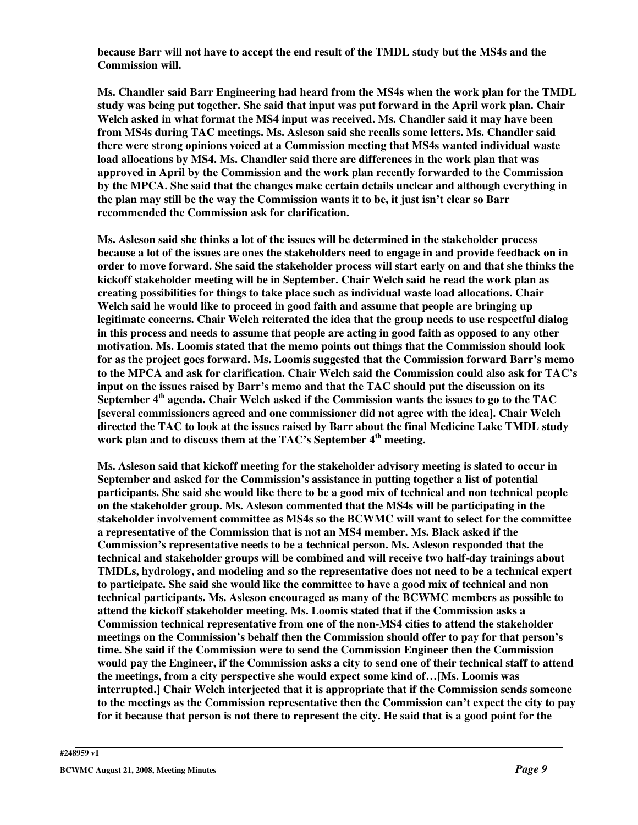**because Barr will not have to accept the end result of the TMDL study but the MS4s and the Commission will.**

**Ms. Chandler said Barr Engineering had heard from the MS4s when the work plan for the TMDL study was being put together. She said that input was put forward in the April work plan. Chair Welch asked in what format the MS4 input was received. Ms. Chandler said it may have been from MS4s during TAC meetings. Ms. Asleson said she recalls some letters. Ms. Chandler said there were strong opinions voiced at a Commission meeting that MS4s wanted individual waste load allocations by MS4. Ms. Chandler said there are differences in the work plan that was approved in April by the Commission and the work plan recently forwarded to the Commission by the MPCA. She said that the changes make certain details unclear and although everything in the plan may still be the way the Commission wants it to be, it just isn't clear so Barr recommended the Commission ask for clarification.**

**Ms. Asleson said she thinks a lot of the issues will be determined in the stakeholder process** because a lot of the issues are ones the stakeholders need to engage in and provide feedback on in order to move forward. She said the stakeholder process will start early on and that she thinks the **kickoff stakeholder meeting will be in September. Chair Welch said he read the work plan as creating possibilities for things to take place such as individual waste load allocations. Chair Welch said he would like to proceed in good faith and assume that people are bringing up legitimate concerns. Chair Welch reiterated the idea that the group needs to use respectful dialog** in this process and needs to assume that people are acting in good faith as opposed to any other **motivation. Ms. Loomis stated that the memo points out things that the Commission should look for as the project goes forward. Ms. Loomis suggested that the Commission forward Barr's memo to the MPCA and ask for clarification. Chair Welch said the Commission could also ask for TAC's input on the issues raised by Barr's memo and that the TAC should put the discussion on its September 4 th agenda. Chair Welch asked if the Commission wants the issues to go to the TAC [several commissioners agreed and one commissioner did not agree with the idea]. Chair Welch directed the TAC to look at the issues raised by Barr about the final Medicine Lake TMDL study work plan and to discuss them at the TAC's September 4 th meeting.**

**Ms. Asleson said that kickoff meeting for the stakeholder advisory meeting is slated to occur in September and asked for the Commission's assistance in putting together a list of potential participants. She said she would like there to be a good mix of technical and non technical people on the stakeholder group. Ms. Asleson commented that the MS4s will be participating in the stakeholder involvement committee as MS4s so the BCWMC will want to select for the committee a representative of the Commission that is not an MS4 member. Ms. Black asked if the Commission's representative needs to be a technical person. Ms. Asleson responded that the technical and stakeholder groups will be combined and will receive two half-day trainings about TMDLs, hydrology, and modeling and so the representative does not need to be a technical expert to participate. She said she would like the committee to have a good mix of technical and non technical participants. Ms. Asleson encouraged as many of the BCWMC members as possible to attend the kickoff stakeholder meeting. Ms. Loomis stated that if the Commission asks a Commission technical representative from one of the non-MS4 cities to attend the stakeholder meetings on the Commission's behalf then the Commission should offer to pay for that person's time. She said if the Commission were to send the Commission Engineer then the Commission** would pay the Engineer, if the Commission asks a city to send one of their technical staff to attend **the meetings, from a city perspective she would expect some kind of…[Ms. Loomis was interrupted.] Chair Welch interjected that it is appropriate that if the Commission sends someone to the meetings as the Commission representative then the Commission can't expect the city to pay** for it because that person is not there to represent the city. He said that is a good point for the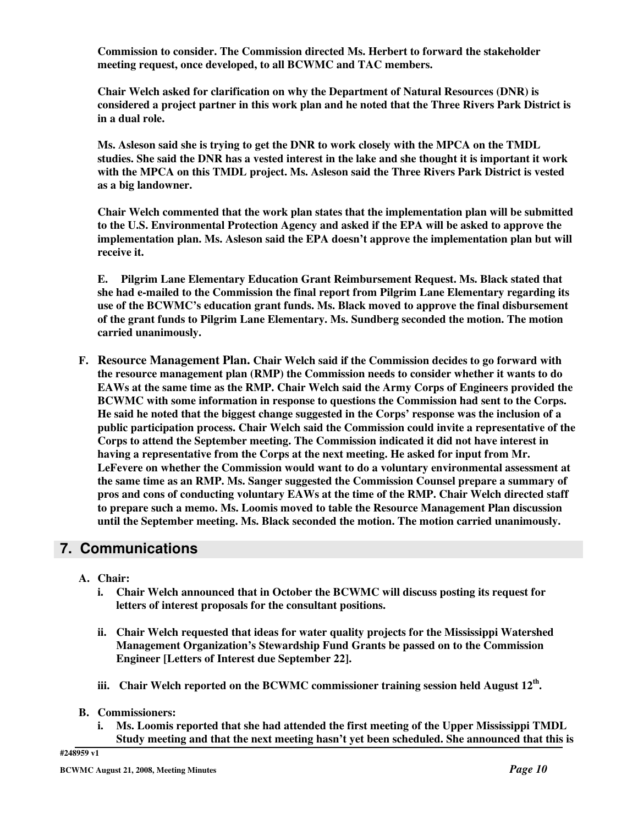**Commission to consider. The Commission directed Ms. Herbert to forward the stakeholder meeting request, once developed, to all BCWMC and TAC members.**

**Chair Welch asked for clarification on why the Department of Natural Resources (DNR) is considered a project partner in this work plan and he noted that the Three Rivers Park District is in a dual role.**

**Ms. Asleson said she is trying to get the DNR to work closely with the MPCA on the TMDL** studies. She said the DNR has a vested interest in the lake and she thought it is important it work **with the MPCA on this TMDL project. Ms. Asleson said the Three Rivers Park District is vested as a big landowner.**

**Chair Welch commented that the work plan states that the implementation plan will be submitted to the U.S. Environmental Protection Agency and asked if the EPA will be asked to approve the implementation plan. Ms. Asleson said the EPA doesn't approve the implementation plan but will receive it.**

**E. Pilgrim Lane Elementary Education Grant Reimbursement Request. Ms. Black stated that she had e-mailed to the Commission the final report from Pilgrim Lane Elementary regarding its use of the BCWMC's education grant funds. Ms. Black moved to approve the final disbursement of the grant funds to Pilgrim Lane Elementary. Ms. Sundberg seconded the motion. The motion carried unanimously.**

**F. Resource Management Plan. Chair Welch said if the Commission decides to go forward with the resource management plan (RMP) the Commission needs to consider whether it wants to do EAWs at the same time as the RMP. Chair Welch said the Army Corps of Engineers provided the BCWMC with some information in response to questions the Commission had sent to the Corps. He said he noted that the biggest change suggested in the Corps' response was the inclusion of a public participation process. Chair Welch said the Commission could invite a representative of the Corps to attend the September meeting. The Commission indicated it did not have interest in having a representative from the Corps at the next meeting. He asked for input from Mr. LeFevere on whether the Commission would want to do a voluntary environmental assessment at the same time as an RMP. Ms. Sanger suggested the Commission Counsel prepare a summary of pros and cons of conducting voluntary EAWs at the time of the RMP. Chair Welch directed staff to prepare such a memo. Ms. Loomis moved to table the Resource Management Plan discussion until the September meeting. Ms. Black seconded the motion. The motion carried unanimously.**

## **7. Communications**

- **A. Chair:**
	- **i. Chair Welch announced that in October the BCWMC will discuss posting its request for letters of interest proposals for the consultant positions.**
	- **ii. Chair Welch requested that ideas for water quality projects for the Mississippi Watershed Management Organization's Stewardship Fund Grants be passed on to the Commission Engineer [Letters of Interest due September 22].**
	- **iii. Chair Welch reported on the BCWMC commissioner training session held August 12 th .**
- **B. Commissioners:**
	- **i. Ms. Loomis reported that she had attended the first meeting of the Upper Mississippi TMDL Study meeting and that the next meeting hasn't yet been scheduled. She announced that this is**

**#248959 v1**